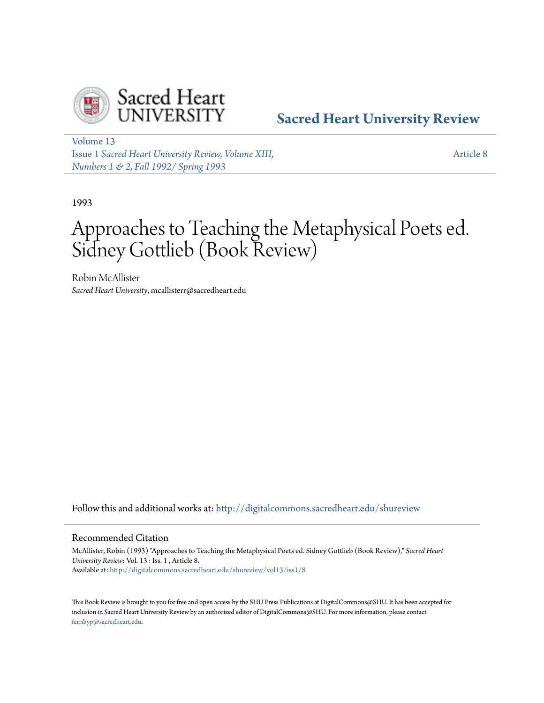

## **[Sacred Heart University Review](http://digitalcommons.sacredheart.edu/shureview?utm_source=digitalcommons.sacredheart.edu%2Fshureview%2Fvol13%2Fiss1%2F8&utm_medium=PDF&utm_campaign=PDFCoverPages)**

[Volume 13](http://digitalcommons.sacredheart.edu/shureview/vol13?utm_source=digitalcommons.sacredheart.edu%2Fshureview%2Fvol13%2Fiss1%2F8&utm_medium=PDF&utm_campaign=PDFCoverPages) Issue 1 *[Sacred Heart University Review, Volume XIII,](http://digitalcommons.sacredheart.edu/shureview/vol13/iss1?utm_source=digitalcommons.sacredheart.edu%2Fshureview%2Fvol13%2Fiss1%2F8&utm_medium=PDF&utm_campaign=PDFCoverPages) [Numbers 1 & 2, Fall 1992/ Spring 1993](http://digitalcommons.sacredheart.edu/shureview/vol13/iss1?utm_source=digitalcommons.sacredheart.edu%2Fshureview%2Fvol13%2Fiss1%2F8&utm_medium=PDF&utm_campaign=PDFCoverPages)*

[Article 8](http://digitalcommons.sacredheart.edu/shureview/vol13/iss1/8?utm_source=digitalcommons.sacredheart.edu%2Fshureview%2Fvol13%2Fiss1%2F8&utm_medium=PDF&utm_campaign=PDFCoverPages)

1993

# Approaches to Teaching the Metaphysical Poets ed. Sidney Gottlieb (Book Review)

Robin McAllister *Sacred Heart University*, mcallisterr@sacredheart.edu

Follow this and additional works at: [http://digitalcommons.sacredheart.edu/shureview](http://digitalcommons.sacredheart.edu/shureview?utm_source=digitalcommons.sacredheart.edu%2Fshureview%2Fvol13%2Fiss1%2F8&utm_medium=PDF&utm_campaign=PDFCoverPages)

#### Recommended Citation

McAllister, Robin (1993) "Approaches to Teaching the Metaphysical Poets ed. Sidney Gottlieb (Book Review)," *Sacred Heart University Review*: Vol. 13 : Iss. 1 , Article 8. Available at: [http://digitalcommons.sacredheart.edu/shureview/vol13/iss1/8](http://digitalcommons.sacredheart.edu/shureview/vol13/iss1/8?utm_source=digitalcommons.sacredheart.edu%2Fshureview%2Fvol13%2Fiss1%2F8&utm_medium=PDF&utm_campaign=PDFCoverPages)

This Book Review is brought to you for free and open access by the SHU Press Publications at DigitalCommons@SHU. It has been accepted for inclusion in Sacred Heart University Review by an authorized editor of DigitalCommons@SHU. For more information, please contact [ferribyp@sacredheart.edu](mailto:ferribyp@sacredheart.edu).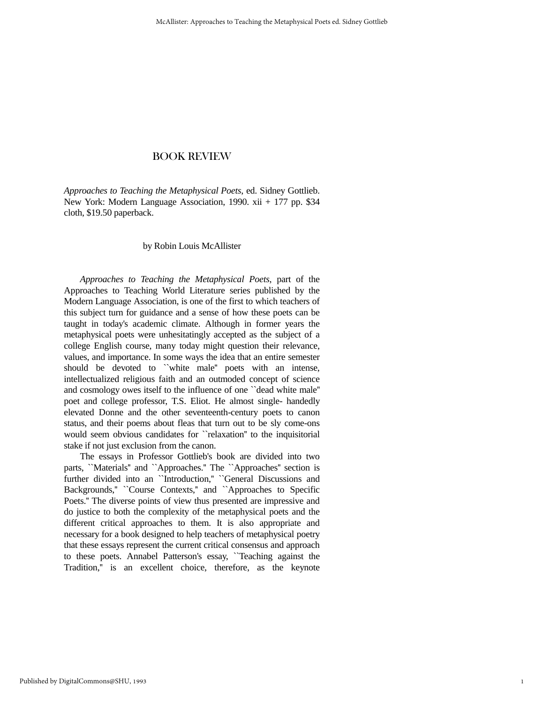*Approaches to Teaching the Metaphysical Poets*, ed. Sidney Gottlieb. New York: Modern Language Association, 1990. xii + 177 pp. \$34 cloth, \$19.50 paperback.

#### by Robin Louis McAllister

 *Approaches to Teaching the Metaphysical Poets*, part of the Approaches to Teaching World Literature series published by the Modern Language Association, is one of the first to which teachers of this subject turn for guidance and a sense of how these poets can be taught in today's academic climate. Although in former years the metaphysical poets were unhesitatingly accepted as the subject of a college English course, many today might question their relevance, values, and importance. In some ways the idea that an entire semester should be devoted to ``white male'' poets with an intense, intellectualized religious faith and an outmoded concept of science and cosmology owes itself to the influence of one ``dead white male'' poet and college professor, T.S. Eliot. He almost single- handedly elevated Donne and the other seventeenth-century poets to canon status, and their poems about fleas that turn out to be sly come-ons would seem obvious candidates for ``relaxation'' to the inquisitorial stake if not just exclusion from the canon.

 The essays in Professor Gottlieb's book are divided into two parts, "Materials" and "Approaches." The "Approaches" section is further divided into an "Introduction," "General Discussions and Backgrounds," ``Course Contexts," and ``Approaches to Specific Poets.'' The diverse points of view thus presented are impressive and do justice to both the complexity of the metaphysical poets and the different critical approaches to them. It is also appropriate and necessary for a book designed to help teachers of metaphysical poetry that these essays represent the current critical consensus and approach to these poets. Annabel Patterson's essay, ``Teaching against the Tradition,'' is an excellent choice, therefore, as the keynote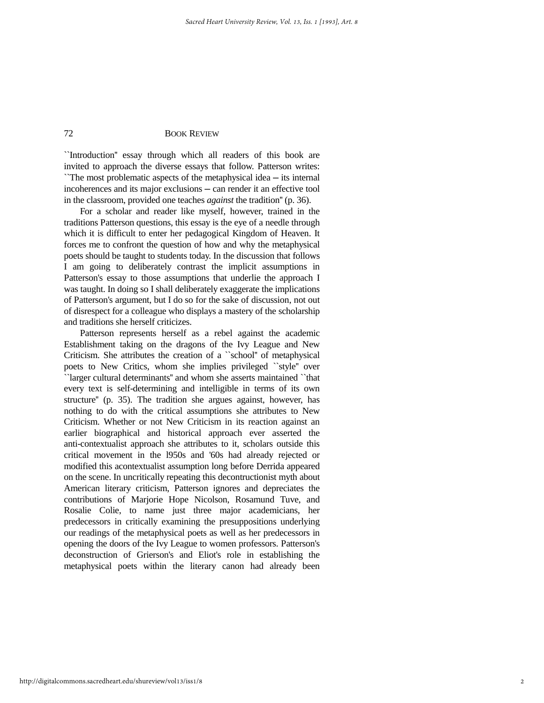``Introduction'' essay through which all readers of this book are invited to approach the diverse essays that follow. Patterson writes: ``The most problematic aspects of the metaphysical idea ─ its internal incoherences and its major exclusions ─ can render it an effective tool in the classroom, provided one teaches *against* the tradition'' (p. 36).

 For a scholar and reader like myself, however, trained in the traditions Patterson questions, this essay is the eye of a needle through which it is difficult to enter her pedagogical Kingdom of Heaven. It forces me to confront the question of how and why the metaphysical poets should be taught to students today. In the discussion that follows I am going to deliberately contrast the implicit assumptions in Patterson's essay to those assumptions that underlie the approach I was taught. In doing so I shall deliberately exaggerate the implications of Patterson's argument, but I do so for the sake of discussion, not out of disrespect for a colleague who displays a mastery of the scholarship and traditions she herself criticizes.

 Patterson represents herself as a rebel against the academic Establishment taking on the dragons of the Ivy League and New Criticism. She attributes the creation of a ``school'' of metaphysical poets to New Critics, whom she implies privileged ``style'' over ``larger cultural determinants'' and whom she asserts maintained ``that every text is self-determining and intelligible in terms of its own structure'' (p. 35). The tradition she argues against, however, has nothing to do with the critical assumptions she attributes to New Criticism. Whether or not New Criticism in its reaction against an earlier biographical and historical approach ever asserted the anti-contextualist approach she attributes to it, scholars outside this critical movement in the l950s and '60s had already rejected or modified this acontextualist assumption long before Derrida appeared on the scene. In uncritically repeating this decontructionist myth about American literary criticism, Patterson ignores and depreciates the contributions of Marjorie Hope Nicolson, Rosamund Tuve, and Rosalie Colie, to name just three major academicians, her predecessors in critically examining the presuppositions underlying our readings of the metaphysical poets as well as her predecessors in opening the doors of the Ivy League to women professors. Patterson's deconstruction of Grierson's and Eliot's role in establishing the metaphysical poets within the literary canon had already been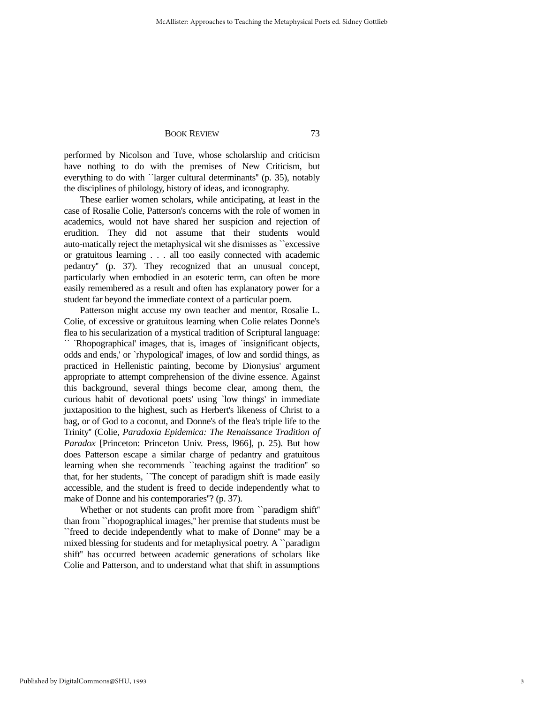performed by Nicolson and Tuve, whose scholarship and criticism have nothing to do with the premises of New Criticism, but everything to do with ``larger cultural determinants'' (p. 35), notably the disciplines of philology, history of ideas, and iconography.

 These earlier women scholars, while anticipating, at least in the case of Rosalie Colie, Patterson's concerns with the role of women in academics, would not have shared her suspicion and rejection of erudition. They did not assume that their students would auto-matically reject the metaphysical wit she dismisses as ``excessive or gratuitous learning . . . all too easily connected with academic pedantry'' (p. 37). They recognized that an unusual concept, particularly when embodied in an esoteric term, can often be more easily remembered as a result and often has explanatory power for a student far beyond the immediate context of a particular poem.

 Patterson might accuse my own teacher and mentor, Rosalie L. Colie, of excessive or gratuitous learning when Colie relates Donne's flea to his secularization of a mystical tradition of Scriptural language: `` `Rhopographical' images, that is, images of `insignificant objects, odds and ends,' or `rhypological' images, of low and sordid things, as practiced in Hellenistic painting, become by Dionysius' argument appropriate to attempt comprehension of the divine essence. Against this background, several things become clear, among them, the curious habit of devotional poets' using `low things' in immediate juxtaposition to the highest, such as Herbert's likeness of Christ to a bag, or of God to a coconut, and Donne's of the flea's triple life to the Trinity'' (Colie, *Paradoxia Epidemica: The Renaissance Tradition of Paradox* [Princeton: Princeton Univ. Press, l966], p. 25). But how does Patterson escape a similar charge of pedantry and gratuitous learning when she recommends ``teaching against the tradition'' so that, for her students, ``The concept of paradigm shift is made easily accessible, and the student is freed to decide independently what to make of Donne and his contemporaries''? (p. 37).

 Whether or not students can profit more from ``paradigm shift'' than from ``rhopographical images,'' her premise that students must be ``freed to decide independently what to make of Donne'' may be a mixed blessing for students and for metaphysical poetry. A ``paradigm shift'' has occurred between academic generations of scholars like Colie and Patterson, and to understand what that shift in assumptions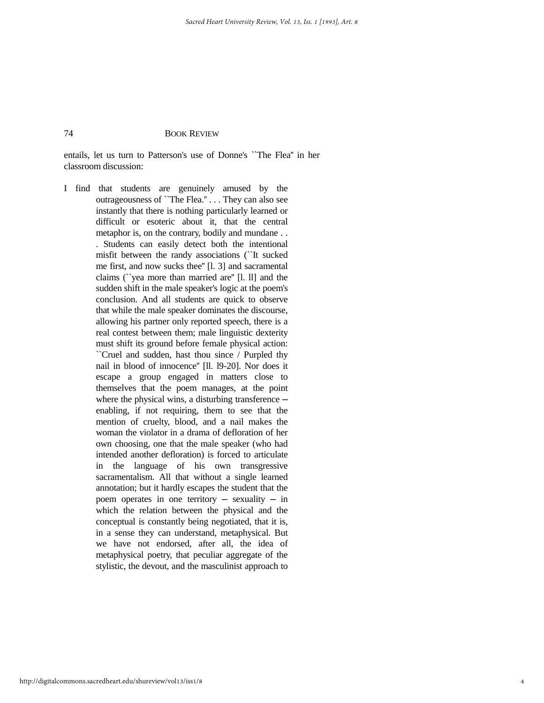entails, let us turn to Patterson's use of Donne's ``The Flea'' in her classroom discussion:

I find that students are genuinely amused by the outrageousness of ``The Flea.'' . . . They can also see instantly that there is nothing particularly learned or difficult or esoteric about it, that the central metaphor is, on the contrary, bodily and mundane . . . Students can easily detect both the intentional misfit between the randy associations (``It sucked me first, and now sucks thee'' [l. 3] and sacramental claims (``yea more than married are'' [l. ll] and the sudden shift in the male speaker's logic at the poem's conclusion. And all students are quick to observe that while the male speaker dominates the discourse, allowing his partner only reported speech, there is a real contest between them; male linguistic dexterity must shift its ground before female physical action: ``Cruel and sudden, hast thou since / Purpled thy nail in blood of innocence'' [ll. l9-20]. Nor does it escape a group engaged in matters close to themselves that the poem manages, at the point where the physical wins, a disturbing transference  $$ enabling, if not requiring, them to see that the mention of cruelty, blood, and a nail makes the woman the violator in a drama of defloration of her own choosing, one that the male speaker (who had intended another defloration) is forced to articulate in the language of his own transgressive sacramentalism. All that without a single learned annotation; but it hardly escapes the student that the poem operates in one territory  $-$  sexuality  $-$  in which the relation between the physical and the conceptual is constantly being negotiated, that it is, in a sense they can understand, metaphysical. But we have not endorsed, after all, the idea of metaphysical poetry, that peculiar aggregate of the stylistic, the devout, and the masculinist approach to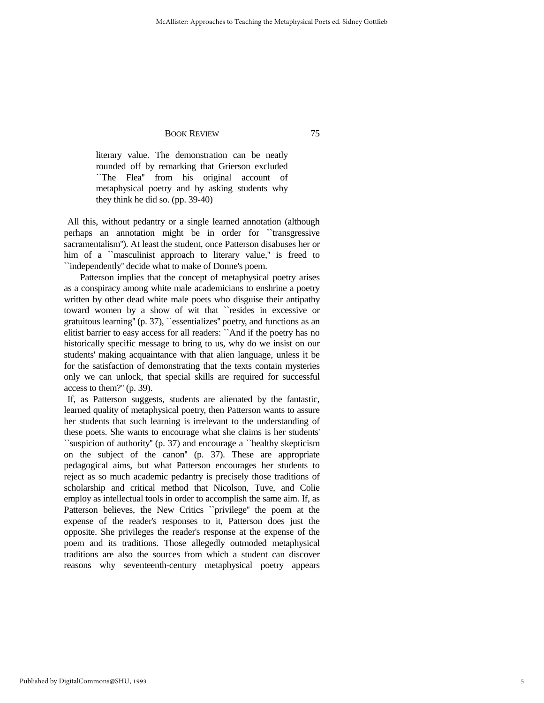literary value. The demonstration can be neatly rounded off by remarking that Grierson excluded ``The Flea'' from his original account of metaphysical poetry and by asking students why they think he did so. (pp. 39-40)

 All this, without pedantry or a single learned annotation (although perhaps an annotation might be in order for ``transgressive sacramentalism''). At least the student, once Patterson disabuses her or him of a ``masculinist approach to literary value," is freed to ``independently'' decide what to make of Donne's poem.

 Patterson implies that the concept of metaphysical poetry arises as a conspiracy among white male academicians to enshrine a poetry written by other dead white male poets who disguise their antipathy toward women by a show of wit that ``resides in excessive or gratuitous learning'' (p. 37), ``essentializes'' poetry, and functions as an elitist barrier to easy access for all readers: ``And if the poetry has no historically specific message to bring to us, why do we insist on our students' making acquaintance with that alien language, unless it be for the satisfaction of demonstrating that the texts contain mysteries only we can unlock, that special skills are required for successful access to them?'' (p. 39).

 If, as Patterson suggests, students are alienated by the fantastic, learned quality of metaphysical poetry, then Patterson wants to assure her students that such learning is irrelevant to the understanding of these poets. She wants to encourage what she claims is her students' ``suspicion of authority'' (p. 37) and encourage a ``healthy skepticism on the subject of the canon'' (p. 37). These are appropriate pedagogical aims, but what Patterson encourages her students to reject as so much academic pedantry is precisely those traditions of scholarship and critical method that Nicolson, Tuve, and Colie employ as intellectual tools in order to accomplish the same aim. If, as Patterson believes, the New Critics ``privilege'' the poem at the expense of the reader's responses to it, Patterson does just the opposite. She privileges the reader's response at the expense of the poem and its traditions. Those allegedly outmoded metaphysical traditions are also the sources from which a student can discover reasons why seventeenth-century metaphysical poetry appears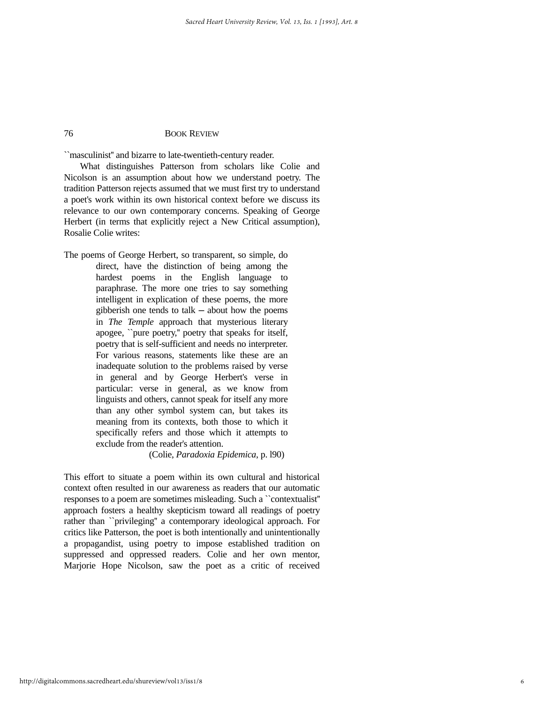``masculinist'' and bizarre to late-twentieth-century reader.

 What distinguishes Patterson from scholars like Colie and Nicolson is an assumption about how we understand poetry. The tradition Patterson rejects assumed that we must first try to understand a poet's work within its own historical context before we discuss its relevance to our own contemporary concerns. Speaking of George Herbert (in terms that explicitly reject a New Critical assumption), Rosalie Colie writes:

The poems of George Herbert, so transparent, so simple, do direct, have the distinction of being among the hardest poems in the English language to paraphrase. The more one tries to say something intelligent in explication of these poems, the more gibberish one tends to talk  $-$  about how the poems in *The Temple* approach that mysterious literary apogee, ``pure poetry,'' poetry that speaks for itself, poetry that is self-sufficient and needs no interpreter. For various reasons, statements like these are an inadequate solution to the problems raised by verse in general and by George Herbert's verse in particular: verse in general, as we know from linguists and others, cannot speak for itself any more than any other symbol system can, but takes its meaning from its contexts, both those to which it specifically refers and those which it attempts to exclude from the reader's attention.

(Colie, *Paradoxia Epidemica*, p. l90)

This effort to situate a poem within its own cultural and historical context often resulted in our awareness as readers that our automatic responses to a poem are sometimes misleading. Such a ``contextualist'' approach fosters a healthy skepticism toward all readings of poetry rather than ``privileging'' a contemporary ideological approach. For critics like Patterson, the poet is both intentionally and unintentionally a propagandist, using poetry to impose established tradition on suppressed and oppressed readers. Colie and her own mentor, Marjorie Hope Nicolson, saw the poet as a critic of received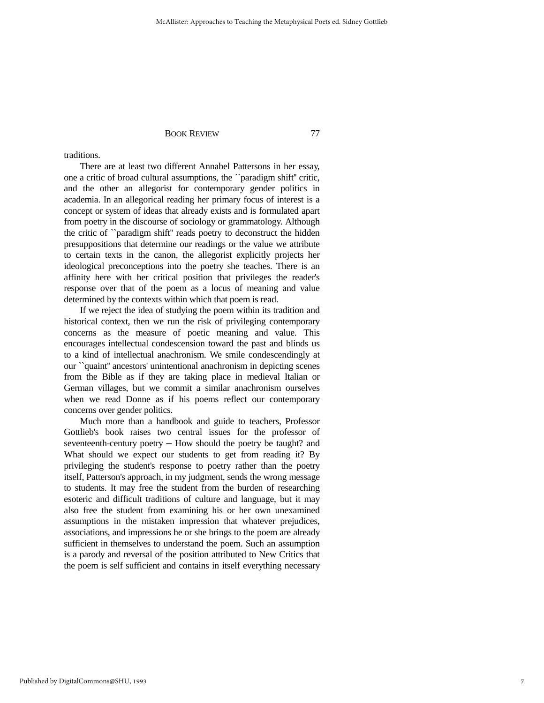traditions.

 There are at least two different Annabel Pattersons in her essay, one a critic of broad cultural assumptions, the ``paradigm shift'' critic, and the other an allegorist for contemporary gender politics in academia. In an allegorical reading her primary focus of interest is a concept or system of ideas that already exists and is formulated apart from poetry in the discourse of sociology or grammatology. Although the critic of ``paradigm shift'' reads poetry to deconstruct the hidden presuppositions that determine our readings or the value we attribute to certain texts in the canon, the allegorist explicitly projects her ideological preconceptions into the poetry she teaches. There is an affinity here with her critical position that privileges the reader's response over that of the poem as a locus of meaning and value determined by the contexts within which that poem is read.

 If we reject the idea of studying the poem within its tradition and historical context, then we run the risk of privileging contemporary concerns as the measure of poetic meaning and value. This encourages intellectual condescension toward the past and blinds us to a kind of intellectual anachronism. We smile condescendingly at our ``quaint'' ancestors' unintentional anachronism in depicting scenes from the Bible as if they are taking place in medieval Italian or German villages, but we commit a similar anachronism ourselves when we read Donne as if his poems reflect our contemporary concerns over gender politics.

 Much more than a handbook and guide to teachers, Professor Gottlieb's book raises two central issues for the professor of seventeenth-century poetry — How should the poetry be taught? and What should we expect our students to get from reading it? By privileging the student's response to poetry rather than the poetry itself, Patterson's approach, in my judgment, sends the wrong message to students. It may free the student from the burden of researching esoteric and difficult traditions of culture and language, but it may also free the student from examining his or her own unexamined assumptions in the mistaken impression that whatever prejudices, associations, and impressions he or she brings to the poem are already sufficient in themselves to understand the poem. Such an assumption is a parody and reversal of the position attributed to New Critics that the poem is self sufficient and contains in itself everything necessary